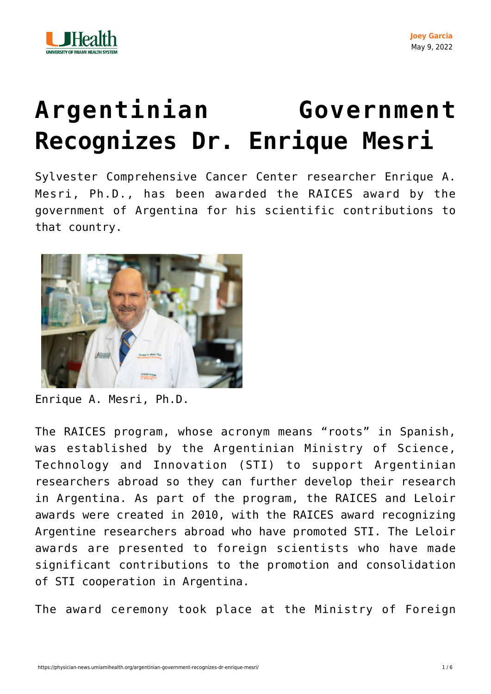

## **[Argentinian Government](https://physician-news.umiamihealth.org/argentinian-government-recognizes-dr-enrique-mesri/) [Recognizes Dr. Enrique Mesri](https://physician-news.umiamihealth.org/argentinian-government-recognizes-dr-enrique-mesri/)**

Sylvester Comprehensive Cancer Center researcher Enrique A. Mesri, Ph.D., has been awarded the RAICES award by the government of Argentina for his scientific contributions to that country.



Enrique A. Mesri, Ph.D.

The RAICES program, whose acronym means "roots" in Spanish, was established by the Argentinian Ministry of Science, Technology and Innovation (STI) to support Argentinian researchers abroad so they can further develop their research in Argentina. As part of the program, the RAICES and Leloir awards were created in 2010, with the RAICES award recognizing Argentine researchers abroad who have promoted STI. The Leloir awards are presented to foreign scientists who have made significant contributions to the promotion and consolidation of STI cooperation in Argentina.

The award ceremony took place at the Ministry of Foreign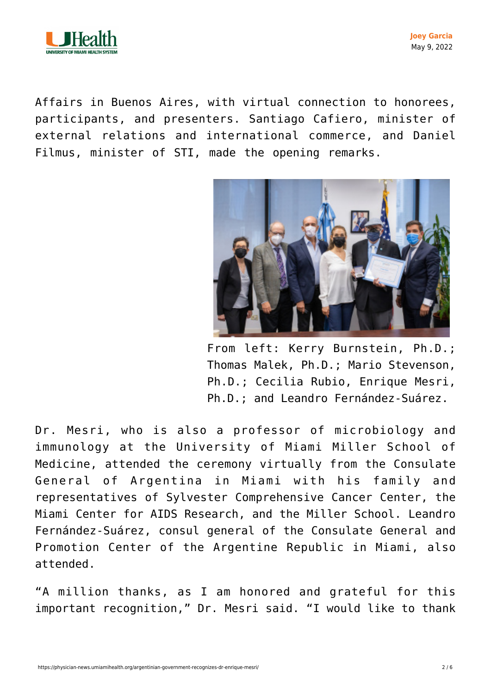

**Joey Garcia** May 9, 2022

Affairs in Buenos Aires, with virtual connection to honorees, participants, and presenters. Santiago Cafiero, minister of external relations and international commerce, and Daniel Filmus, minister of STI, made the opening remarks.



From left: Kerry Burnstein, Ph.D.; Thomas Malek, Ph.D.; Mario Stevenson, Ph.D.; Cecilia Rubio, Enrique Mesri, Ph.D.; and Leandro Fernández-Suárez.

Dr. Mesri, who is also a professor of microbiology and immunology at the University of Miami Miller School of Medicine, attended the ceremony virtually from the Consulate General of Argentina in Miami with his family and representatives of Sylvester Comprehensive Cancer Center, the Miami Center for AIDS Research, and the Miller School. Leandro Fernández-Suárez, consul general of the Consulate General and Promotion Center of the Argentine Republic in Miami, also attended.

"A million thanks, as I am honored and grateful for this important recognition," Dr. Mesri said. "I would like to thank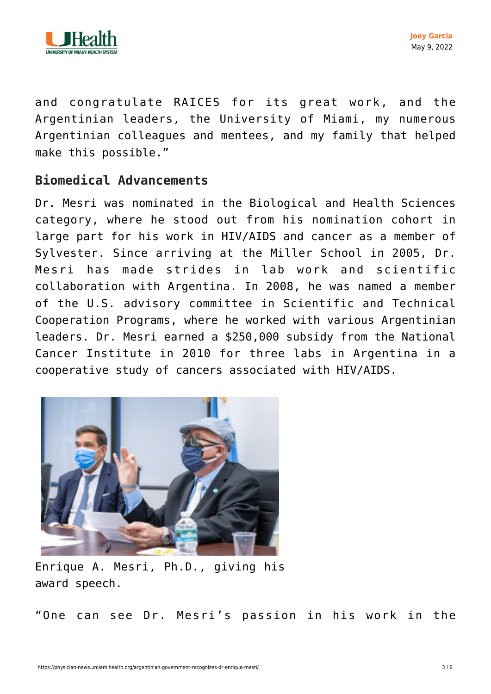

and congratulate RAICES for its great work, and the Argentinian leaders, the University of Miami, my numerous Argentinian colleagues and mentees, and my family that helped make this possible."

## **Biomedical Advancements**

Dr. Mesri was nominated in the Biological and Health Sciences category, where he stood out from his nomination cohort in large part for his work in HIV/AIDS and cancer as a member of Sylvester. Since arriving at the Miller School in 2005, Dr. Mesri has made strides in lab work and scientific collaboration with Argentina. In 2008, he was named a member of the U.S. advisory committee in Scientific and Technical Cooperation Programs, where he worked with various Argentinian leaders. Dr. Mesri earned a \$250,000 subsidy from the National Cancer Institute in 2010 for three labs in Argentina in a cooperative study of cancers associated with HIV/AIDS.



Enrique A. Mesri, Ph.D., giving his award speech.

"One can see Dr. Mesri's passion in his work in the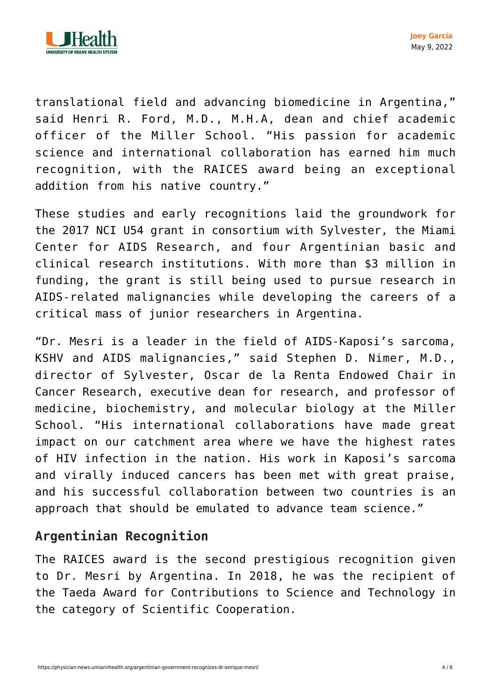

translational field and advancing biomedicine in Argentina," said Henri R. Ford, M.D., M.H.A, dean and chief academic officer of the Miller School. "His passion for academic science and international collaboration has earned him much recognition, with the RAICES award being an exceptional addition from his native country."

These studies and early recognitions laid the groundwork for the 2017 [NCI U54 grant](https://physician-news.umiamihealth.org/sylvester-cfar-and-argentina-centers-awarded-nci-grant-for-research-and-training/) in consortium with Sylvester, the Miami Center for AIDS Research, and four Argentinian basic and clinical research institutions. With more than \$3 million in funding, the grant is still being used to pursue research in AIDS-related malignancies while developing the careers of a critical mass of junior researchers in Argentina.

"Dr. Mesri is a leader in the field of AIDS-Kaposi's sarcoma, KSHV and AIDS malignancies," said Stephen D. Nimer, M.D., director of Sylvester, Oscar de la Renta Endowed Chair in Cancer Research, executive dean for research, and professor of medicine, biochemistry, and molecular biology at the Miller School. "His international collaborations have made great impact on our catchment area where we have the highest rates of HIV infection in the nation. His work in Kaposi's sarcoma and virally induced cancers has been met with great praise, and his successful collaboration between two countries is an approach that should be emulated to advance team science."

## **Argentinian Recognition**

The RAICES award is the second prestigious recognition given to Dr. Mesri by Argentina. In 2018, he was the recipient of the [Taeda Award](https://physician-news.umiamihealth.org/dr-enrique-a-mesri-receives-prestigious-award-in-argentina/) for Contributions to Science and Technology in the category of Scientific Cooperation.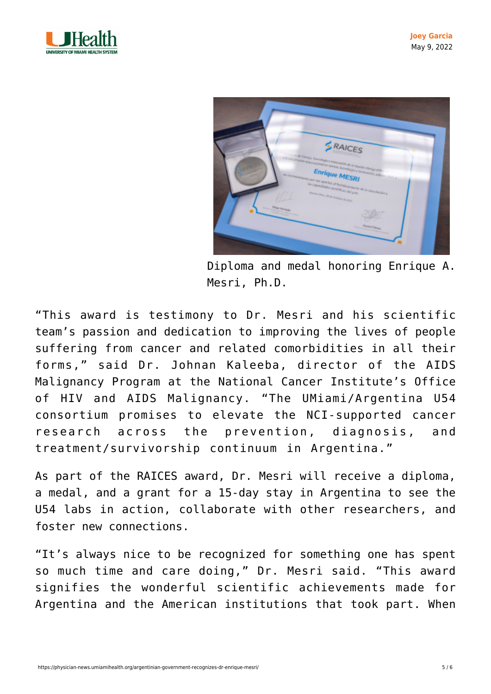



Diploma and medal honoring Enrique A. Mesri, Ph.D.

"This award is testimony to Dr. Mesri and his scientific team's passion and dedication to improving the lives of people suffering from cancer and related comorbidities in all their forms," said Dr. Johnan Kaleeba, director of the AIDS Malignancy Program at the National Cancer Institute's Office of HIV and AIDS Malignancy. "The UMiami/Argentina U54 consortium promises to elevate the NCI-supported cancer research across the prevention, diagnosis, and treatment/survivorship continuum in Argentina."

As part of the RAICES award, Dr. Mesri will receive a diploma, a medal, and a grant for a 15-day stay in Argentina to see the U54 labs in action, collaborate with other researchers, and foster new connections.

"It's always nice to be recognized for something one has spent so much time and care doing," Dr. Mesri said. "This award signifies the wonderful scientific achievements made for Argentina and the American institutions that took part. When